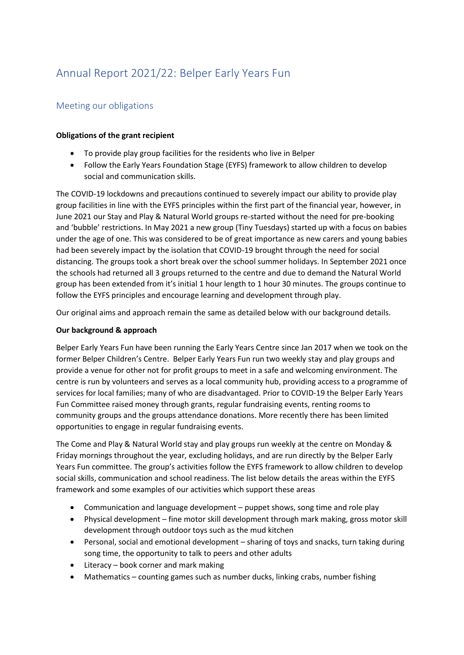# Annual Report 2021/22: Belper Early Years Fun

## Meeting our obligations

#### **Obligations of the grant recipient**

- To provide play group facilities for the residents who live in Belper
- Follow the Early Years Foundation Stage (EYFS) framework to allow children to develop social and communication skills.

The COVID-19 lockdowns and precautions continued to severely impact our ability to provide play group facilities in line with the EYFS principles within the first part of the financial year, however, in June 2021 our Stay and Play & Natural World groups re-started without the need for pre-booking and 'bubble' restrictions. In May 2021 a new group (Tiny Tuesdays) started up with a focus on babies under the age of one. This was considered to be of great importance as new carers and young babies had been severely impact by the isolation that COVID-19 brought through the need for social distancing. The groups took a short break over the school summer holidays. In September 2021 once the schools had returned all 3 groups returned to the centre and due to demand the Natural World group has been extended from it's initial 1 hour length to 1 hour 30 minutes. The groups continue to follow the EYFS principles and encourage learning and development through play.

Our original aims and approach remain the same as detailed below with our background details.

#### **Our background & approach**

Belper Early Years Fun have been running the Early Years Centre since Jan 2017 when we took on the former Belper Children's Centre. Belper Early Years Fun run two weekly stay and play groups and provide a venue for other not for profit groups to meet in a safe and welcoming environment. The centre is run by volunteers and serves as a local community hub, providing access to a programme of services for local families; many of who are disadvantaged. Prior to COVID-19 the Belper Early Years Fun Committee raised money through grants, regular fundraising events, renting rooms to community groups and the groups attendance donations. More recently there has been limited opportunities to engage in regular fundraising events.

The Come and Play & Natural World stay and play groups run weekly at the centre on Monday & Friday mornings throughout the year, excluding holidays, and are run directly by the Belper Early Years Fun committee. The group's activities follow the EYFS framework to allow children to develop social skills, communication and school readiness. The list below details the areas within the EYFS framework and some examples of our activities which support these areas

- Communication and language development puppet shows, song time and role play
- Physical development fine motor skill development through mark making, gross motor skill development through outdoor toys such as the mud kitchen
- Personal, social and emotional development sharing of toys and snacks, turn taking during song time, the opportunity to talk to peers and other adults
- Literacy book corner and mark making
- Mathematics counting games such as number ducks, linking crabs, number fishing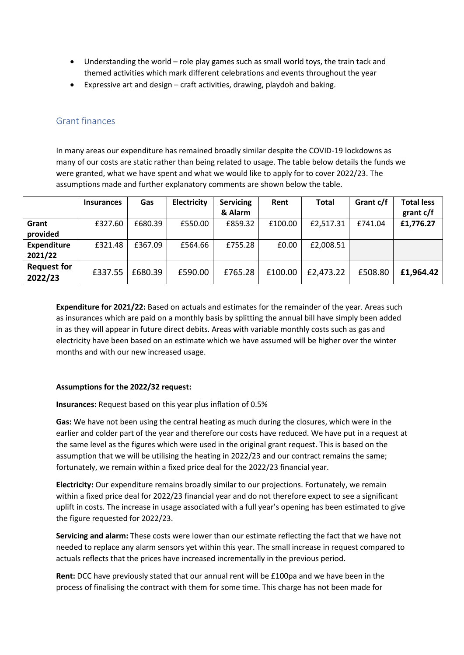- Understanding the world role play games such as small world toys, the train tack and themed activities which mark different celebrations and events throughout the year
- Expressive art and design craft activities, drawing, playdoh and baking.

### Grant finances

In many areas our expenditure has remained broadly similar despite the COVID-19 lockdowns as many of our costs are static rather than being related to usage. The table below details the funds we were granted, what we have spent and what we would like to apply for to cover 2022/23. The assumptions made and further explanatory comments are shown below the table.

|                    | <b>Insurances</b> | Gas     | Electricity | <b>Servicing</b> | Rent    | <b>Total</b> | Grant c/f | <b>Total less</b> |
|--------------------|-------------------|---------|-------------|------------------|---------|--------------|-----------|-------------------|
|                    |                   |         |             | & Alarm          |         |              |           | grant c/f         |
| Grant              | £327.60           | £680.39 | £550.00     | £859.32          | £100.00 | £2,517.31    | £741.04   | £1,776.27         |
| provided           |                   |         |             |                  |         |              |           |                   |
| <b>Expenditure</b> | £321.48           | £367.09 | £564.66     | £755.28          | £0.00   | £2,008.51    |           |                   |
| 2021/22            |                   |         |             |                  |         |              |           |                   |
| <b>Request for</b> | £337.55           | £680.39 | £590.00     | £765.28          | £100.00 | £2,473.22    | £508.80   | £1,964.42         |
| 2022/23            |                   |         |             |                  |         |              |           |                   |

**Expenditure for 2021/22:** Based on actuals and estimates for the remainder of the year. Areas such as insurances which are paid on a monthly basis by splitting the annual bill have simply been added in as they will appear in future direct debits. Areas with variable monthly costs such as gas and electricity have been based on an estimate which we have assumed will be higher over the winter months and with our new increased usage.

#### **Assumptions for the 2022/32 request:**

**Insurances:** Request based on this year plus inflation of 0.5%

**Gas:** We have not been using the central heating as much during the closures, which were in the earlier and colder part of the year and therefore our costs have reduced. We have put in a request at the same level as the figures which were used in the original grant request. This is based on the assumption that we will be utilising the heating in 2022/23 and our contract remains the same; fortunately, we remain within a fixed price deal for the 2022/23 financial year.

**Electricity:** Our expenditure remains broadly similar to our projections. Fortunately, we remain within a fixed price deal for 2022/23 financial year and do not therefore expect to see a significant uplift in costs. The increase in usage associated with a full year's opening has been estimated to give the figure requested for 2022/23.

**Servicing and alarm:** These costs were lower than our estimate reflecting the fact that we have not needed to replace any alarm sensors yet within this year. The small increase in request compared to actuals reflects that the prices have increased incrementally in the previous period.

**Rent:** DCC have previously stated that our annual rent will be £100pa and we have been in the process of finalising the contract with them for some time. This charge has not been made for